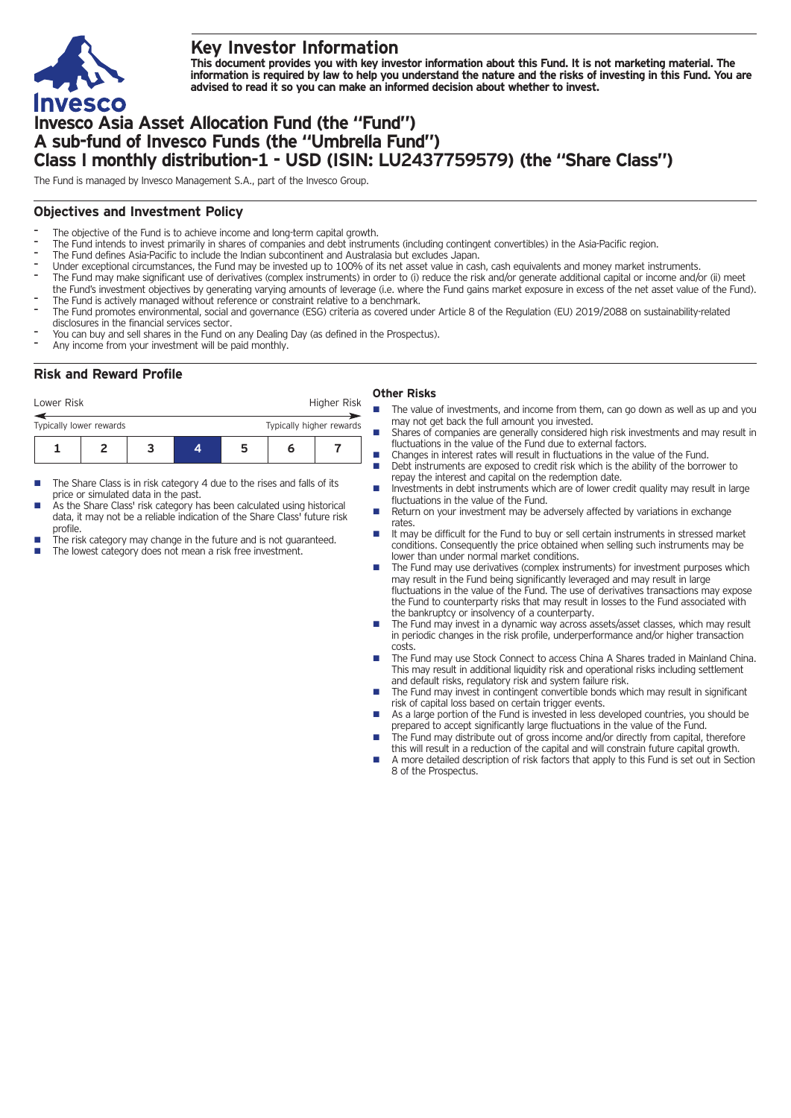

# **Key Investor Information**

This document provides you with key investor information about this Fund. It is not marketing material. The information is required by law to help you understand the nature and the risks of investing in this Fund. You are **advised to read it so you can make an informed decision about whether to invest.**

# **Invesco Asia Asset Allocation Fund (the "Fund") A sub-fund of Invesco Funds (the "Umbrella Fund") Class I monthly distribution-1 - USD (ISIN: LU2437759579) (the "Share Class")**

The Fund is managed by Invesco Management S.A., part of the Invesco Group.

## **Objectives and Investment Policy**

- The objective of the Fund is to achieve income and long-term capital growth.
- The Fund intends to invest primarily in shares of companies and debt instruments (including contingent convertibles) in the Asia-Pacific region.
- The Fund defines Asia-Pacific to include the Indian subcontinent and Australasia but excludes Japan.
- Under exceptional circumstances, the Fund may be invested up to 100% of its net asset value in cash, cash equivalents and money market instruments.
- The Fund may make significant use of derivatives (complex instruments) in order to (i) reduce the risk and/or generate additional capital or income and/or (ii) meet the Fund's investment objectives by generating varying amounts of leverage (i.e. where the Fund gains market exposure in excess of the net asset value of the Fund).
- The Fund is actively managed without reference or constraint relative to a benchmark.
- The Fund promotes environmental, social and governance (ESG) criteria as covered under Article 8 of the Regulation (EU) 2019/2088 on sustainability-related disclosures in the financial services sector.
- You can buy and sell shares in the Fund on any Dealing Day (as defined in the Prospectus).
- Any income from your investment will be paid monthly.

# **Risk and Reward Profile**

### Lower Risk **Higher Risk** Higher Risk **Other Risks**

- **1234567** Typically lower rewards Typically higher rewards
- $\blacksquare$  The Share Class is in risk category 4 due to the rises and falls of its price or simulated data in the past.
- As the Share Class' risk category has been calculated using historical data, it may not be a reliable indication of the Share Class' future risk profile.
- The risk category may change in the future and is not guaranteed.
- The lowest category does not mean a risk free investment.
- The value of investments, and income from them, can go down as well as up and you may not get back the full amount you invested.
- $\blacksquare$  Shares of companies are generally considered high risk investments and may result in fluctuations in the value of the Fund due to external factors.
- $\blacksquare$  Changes in interest rates will result in fluctuations in the value of the Fund. Debt instruments are exposed to credit risk which is the ability of the borrower to
- repay the interest and capital on the redemption date. Investments in debt instruments which are of lower credit quality may result in large fluctuations in the value of the Fund.
- Return on your investment may be adversely affected by variations in exchange rates.
- n It may be difficult for the Fund to buy or sell certain instruments in stressed market conditions. Consequently the price obtained when selling such instruments may be lower than under normal market conditions.
- n The Fund may use derivatives (complex instruments) for investment purposes which may result in the Fund being significantly leveraged and may result in large fluctuations in the value of the Fund. The use of derivatives transactions may expose the Fund to counterparty risks that may result in losses to the Fund associated with the bankruptcy or insolvency of a counterparty.
- The Fund may invest in a dynamic way across assets/asset classes, which may result in periodic changes in the risk profile, underperformance and/or higher transaction costs.
- The Fund may use Stock Connect to access China A Shares traded in Mainland China. This may result in additional liquidity risk and operational risks including settlement and default risks, regulatory risk and system failure risk.
- The Fund may invest in contingent convertible bonds which may result in significant risk of capital loss based on certain trigger events.
- As a large portion of the Fund is invested in less developed countries, you should be prepared to accept significantly large fluctuations in the value of the Fund.
- The Fund may distribute out of gross income and/or directly from capital, therefore this will result in a reduction of the capital and will constrain future capital growth.
- n A more detailed description of risk factors that apply to this Fund is set out in Section 8 of the Prospectus.